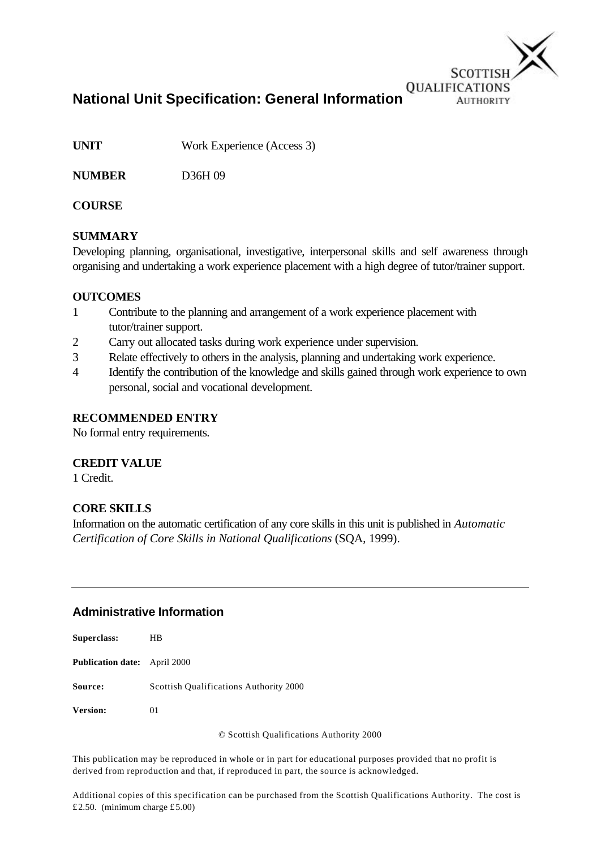

**National Unit Specification: General Information**

**UNIT** Work Experience (Access 3)

**NUMBER** D36H 09

# **COURSE**

# **SUMMARY**

Developing planning, organisational, investigative, interpersonal skills and self awareness through organising and undertaking a work experience placement with a high degree of tutor/trainer support.

## **OUTCOMES**

- 1 Contribute to the planning and arrangement of a work experience placement with tutor/trainer support.
- 2 Carry out allocated tasks during work experience under supervision.
- 3 Relate effectively to others in the analysis, planning and undertaking work experience.
- 4 Identify the contribution of the knowledge and skills gained through work experience to own personal, social and vocational development.

## **RECOMMENDED ENTRY**

No formal entry requirements.

#### **CREDIT VALUE**

1 Credit.

## **CORE SKILLS**

Information on the automatic certification of any core skills in this unit is published in *Automatic Certification of Core Skills in National Qualifications* (SQA, 1999).

## **Administrative Information**

| Superclass:                         | HВ                                            |
|-------------------------------------|-----------------------------------------------|
| <b>Publication date:</b> April 2000 |                                               |
| Source:                             | <b>Scottish Qualifications Authority 2000</b> |
| Version:                            | 01                                            |

© Scottish Qualifications Authority 2000

This publication may be reproduced in whole or in part for educational purposes provided that no profit is derived from reproduction and that, if reproduced in part, the source is acknowledged.

Additional copies of this specification can be purchased from the Scottish Qualifications Authority. The cost is £2.50. (minimum charge £5.00)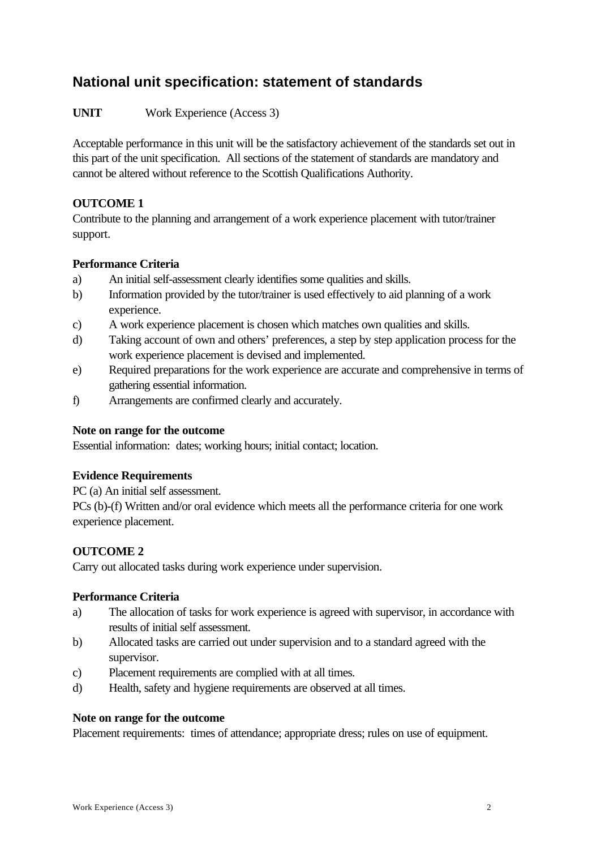# **National unit specification: statement of standards**

**UNIT** Work Experience (Access 3)

Acceptable performance in this unit will be the satisfactory achievement of the standards set out in this part of the unit specification. All sections of the statement of standards are mandatory and cannot be altered without reference to the Scottish Qualifications Authority.

## **OUTCOME 1**

Contribute to the planning and arrangement of a work experience placement with tutor/trainer support.

### **Performance Criteria**

- a) An initial self-assessment clearly identifies some qualities and skills.
- b) Information provided by the tutor/trainer is used effectively to aid planning of a work experience.
- c) A work experience placement is chosen which matches own qualities and skills.
- d) Taking account of own and others' preferences, a step by step application process for the work experience placement is devised and implemented.
- e) Required preparations for the work experience are accurate and comprehensive in terms of gathering essential information.
- f) Arrangements are confirmed clearly and accurately.

#### **Note on range for the outcome**

Essential information: dates; working hours; initial contact; location.

#### **Evidence Requirements**

PC (a) An initial self assessment.

PCs (b)-(f) Written and/or oral evidence which meets all the performance criteria for one work experience placement.

## **OUTCOME 2**

Carry out allocated tasks during work experience under supervision.

#### **Performance Criteria**

- a) The allocation of tasks for work experience is agreed with supervisor, in accordance with results of initial self assessment.
- b) Allocated tasks are carried out under supervision and to a standard agreed with the supervisor.
- c) Placement requirements are complied with at all times.
- d) Health, safety and hygiene requirements are observed at all times.

#### **Note on range for the outcome**

Placement requirements: times of attendance; appropriate dress; rules on use of equipment.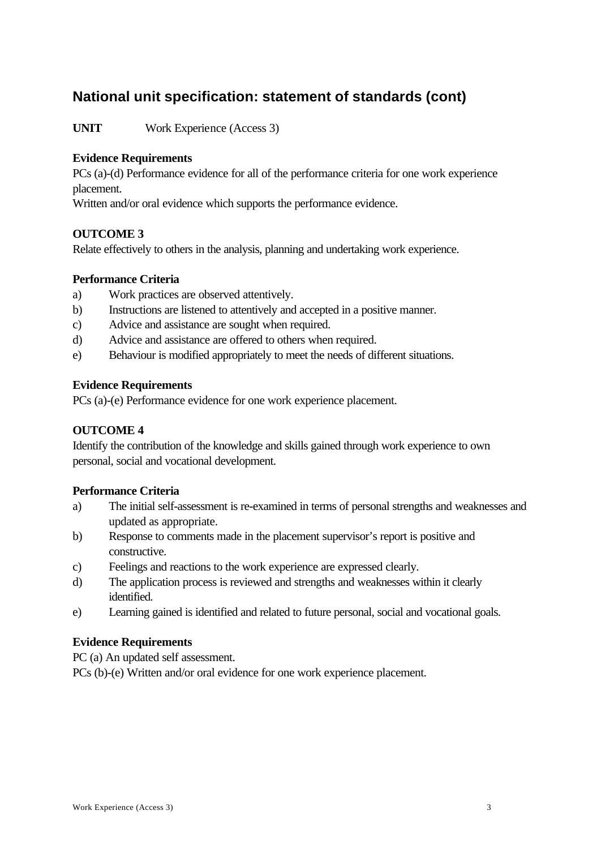# **National unit specification: statement of standards (cont)**

**UNIT** Work Experience (Access 3)

### **Evidence Requirements**

PCs (a)-(d) Performance evidence for all of the performance criteria for one work experience placement.

Written and/or oral evidence which supports the performance evidence.

#### **OUTCOME 3**

Relate effectively to others in the analysis, planning and undertaking work experience.

### **Performance Criteria**

- a) Work practices are observed attentively.
- b) Instructions are listened to attentively and accepted in a positive manner.
- c) Advice and assistance are sought when required.
- d) Advice and assistance are offered to others when required.
- e) Behaviour is modified appropriately to meet the needs of different situations.

#### **Evidence Requirements**

PCs (a)-(e) Performance evidence for one work experience placement.

#### **OUTCOME 4**

Identify the contribution of the knowledge and skills gained through work experience to own personal, social and vocational development.

#### **Performance Criteria**

- a) The initial self-assessment is re-examined in terms of personal strengths and weaknesses and updated as appropriate.
- b) Response to comments made in the placement supervisor's report is positive and constructive.
- c) Feelings and reactions to the work experience are expressed clearly.
- d) The application process is reviewed and strengths and weaknesses within it clearly identified.
- e) Learning gained is identified and related to future personal, social and vocational goals.

#### **Evidence Requirements**

PC (a) An updated self assessment.

PCs (b)-(e) Written and/or oral evidence for one work experience placement.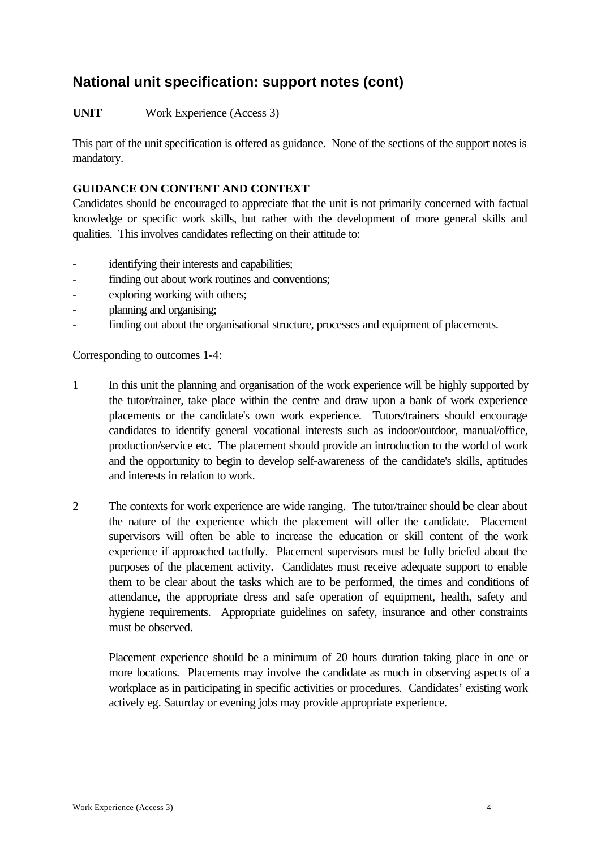**UNIT** Work Experience (Access 3)

This part of the unit specification is offered as guidance. None of the sections of the support notes is mandatory.

# **GUIDANCE ON CONTENT AND CONTEXT**

Candidates should be encouraged to appreciate that the unit is not primarily concerned with factual knowledge or specific work skills, but rather with the development of more general skills and qualities. This involves candidates reflecting on their attitude to:

- identifying their interests and capabilities;
- finding out about work routines and conventions;
- exploring working with others;
- planning and organising;
- finding out about the organisational structure, processes and equipment of placements.

Corresponding to outcomes 1-4:

- 1 In this unit the planning and organisation of the work experience will be highly supported by the tutor/trainer, take place within the centre and draw upon a bank of work experience placements or the candidate's own work experience. Tutors/trainers should encourage candidates to identify general vocational interests such as indoor/outdoor, manual/office, production/service etc. The placement should provide an introduction to the world of work and the opportunity to begin to develop self-awareness of the candidate's skills, aptitudes and interests in relation to work.
- 2 The contexts for work experience are wide ranging. The tutor/trainer should be clear about the nature of the experience which the placement will offer the candidate. Placement supervisors will often be able to increase the education or skill content of the work experience if approached tactfully. Placement supervisors must be fully briefed about the purposes of the placement activity. Candidates must receive adequate support to enable them to be clear about the tasks which are to be performed, the times and conditions of attendance, the appropriate dress and safe operation of equipment, health, safety and hygiene requirements. Appropriate guidelines on safety, insurance and other constraints must be observed.

Placement experience should be a minimum of 20 hours duration taking place in one or more locations. Placements may involve the candidate as much in observing aspects of a workplace as in participating in specific activities or procedures. Candidates' existing work actively eg. Saturday or evening jobs may provide appropriate experience.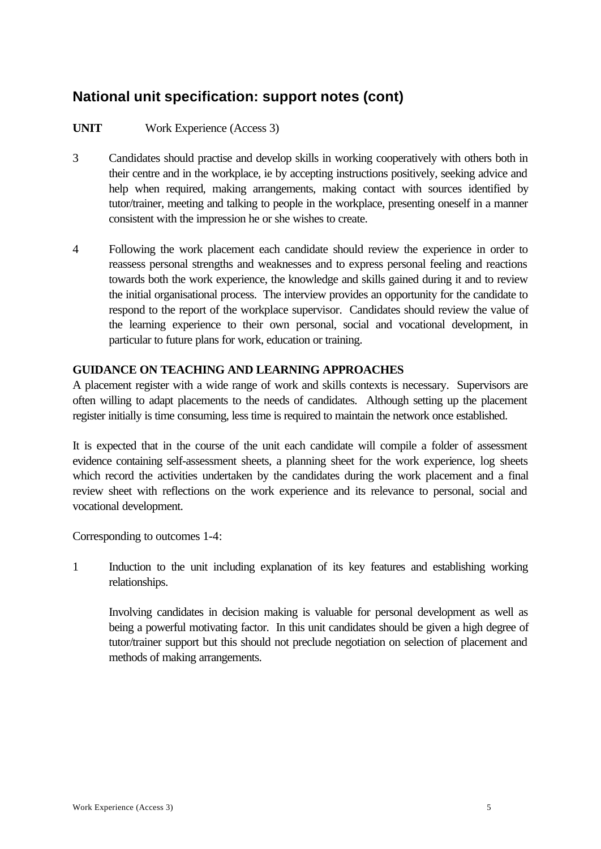# **UNIT** Work Experience (Access 3)

- 3 Candidates should practise and develop skills in working cooperatively with others both in their centre and in the workplace, ie by accepting instructions positively, seeking advice and help when required, making arrangements, making contact with sources identified by tutor/trainer, meeting and talking to people in the workplace, presenting oneself in a manner consistent with the impression he or she wishes to create.
- 4 Following the work placement each candidate should review the experience in order to reassess personal strengths and weaknesses and to express personal feeling and reactions towards both the work experience, the knowledge and skills gained during it and to review the initial organisational process. The interview provides an opportunity for the candidate to respond to the report of the workplace supervisor. Candidates should review the value of the learning experience to their own personal, social and vocational development, in particular to future plans for work, education or training.

### **GUIDANCE ON TEACHING AND LEARNING APPROACHES**

A placement register with a wide range of work and skills contexts is necessary. Supervisors are often willing to adapt placements to the needs of candidates. Although setting up the placement register initially is time consuming, less time is required to maintain the network once established.

It is expected that in the course of the unit each candidate will compile a folder of assessment evidence containing self-assessment sheets, a planning sheet for the work experience, log sheets which record the activities undertaken by the candidates during the work placement and a final review sheet with reflections on the work experience and its relevance to personal, social and vocational development.

Corresponding to outcomes 1-4:

1 Induction to the unit including explanation of its key features and establishing working relationships.

Involving candidates in decision making is valuable for personal development as well as being a powerful motivating factor. In this unit candidates should be given a high degree of tutor/trainer support but this should not preclude negotiation on selection of placement and methods of making arrangements.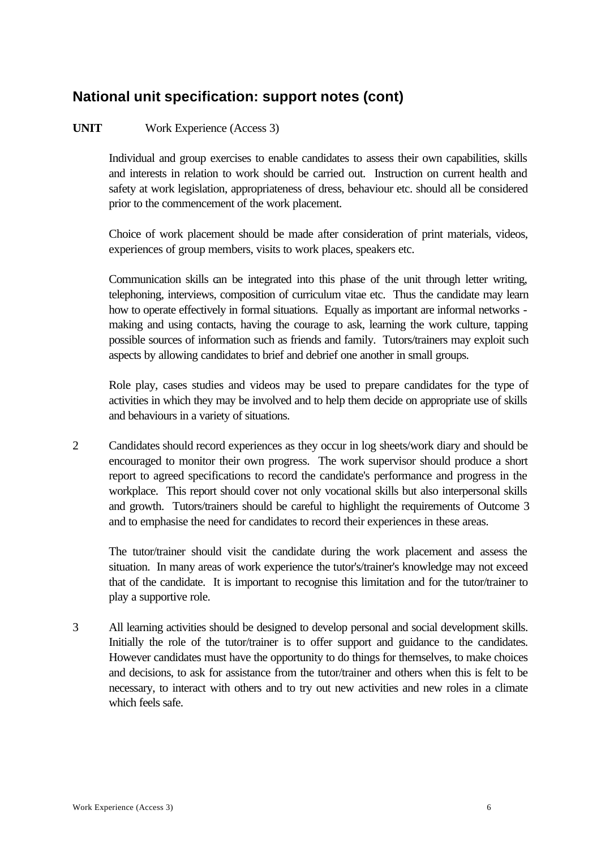# **UNIT** Work Experience (Access 3)

Individual and group exercises to enable candidates to assess their own capabilities, skills and interests in relation to work should be carried out. Instruction on current health and safety at work legislation, appropriateness of dress, behaviour etc. should all be considered prior to the commencement of the work placement.

Choice of work placement should be made after consideration of print materials, videos, experiences of group members, visits to work places, speakers etc.

Communication skills can be integrated into this phase of the unit through letter writing, telephoning, interviews, composition of curriculum vitae etc. Thus the candidate may learn how to operate effectively in formal situations. Equally as important are informal networks making and using contacts, having the courage to ask, learning the work culture, tapping possible sources of information such as friends and family. Tutors/trainers may exploit such aspects by allowing candidates to brief and debrief one another in small groups.

Role play, cases studies and videos may be used to prepare candidates for the type of activities in which they may be involved and to help them decide on appropriate use of skills and behaviours in a variety of situations.

2 Candidates should record experiences as they occur in log sheets/work diary and should be encouraged to monitor their own progress. The work supervisor should produce a short report to agreed specifications to record the candidate's performance and progress in the workplace. This report should cover not only vocational skills but also interpersonal skills and growth. Tutors/trainers should be careful to highlight the requirements of Outcome 3 and to emphasise the need for candidates to record their experiences in these areas.

The tutor/trainer should visit the candidate during the work placement and assess the situation. In many areas of work experience the tutor's/trainer's knowledge may not exceed that of the candidate. It is important to recognise this limitation and for the tutor/trainer to play a supportive role.

3 All learning activities should be designed to develop personal and social development skills. Initially the role of the tutor/trainer is to offer support and guidance to the candidates. However candidates must have the opportunity to do things for themselves, to make choices and decisions, to ask for assistance from the tutor/trainer and others when this is felt to be necessary, to interact with others and to try out new activities and new roles in a climate which feels safe.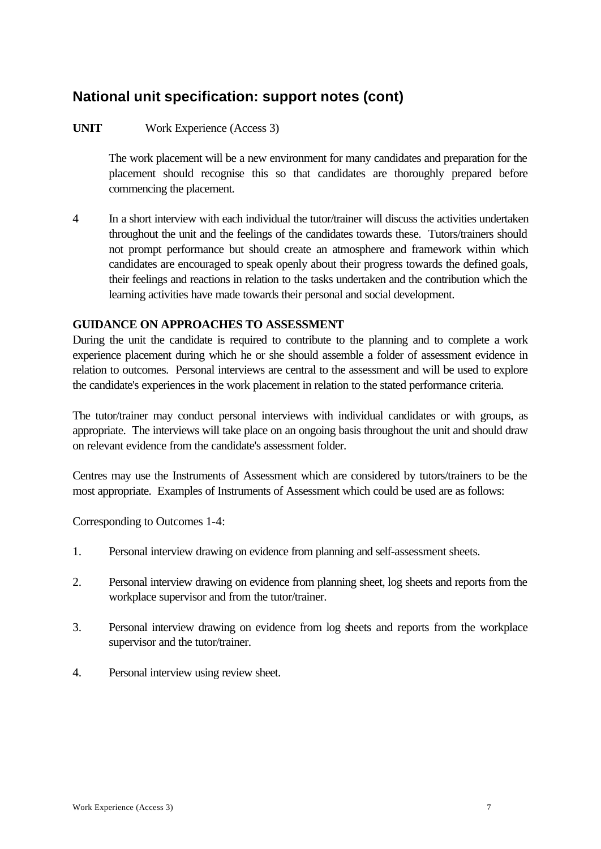# **UNIT** Work Experience (Access 3)

The work placement will be a new environment for many candidates and preparation for the placement should recognise this so that candidates are thoroughly prepared before commencing the placement.

4 In a short interview with each individual the tutor/trainer will discuss the activities undertaken throughout the unit and the feelings of the candidates towards these. Tutors/trainers should not prompt performance but should create an atmosphere and framework within which candidates are encouraged to speak openly about their progress towards the defined goals, their feelings and reactions in relation to the tasks undertaken and the contribution which the learning activities have made towards their personal and social development.

## **GUIDANCE ON APPROACHES TO ASSESSMENT**

During the unit the candidate is required to contribute to the planning and to complete a work experience placement during which he or she should assemble a folder of assessment evidence in relation to outcomes. Personal interviews are central to the assessment and will be used to explore the candidate's experiences in the work placement in relation to the stated performance criteria.

The tutor/trainer may conduct personal interviews with individual candidates or with groups, as appropriate. The interviews will take place on an ongoing basis throughout the unit and should draw on relevant evidence from the candidate's assessment folder.

Centres may use the Instruments of Assessment which are considered by tutors/trainers to be the most appropriate. Examples of Instruments of Assessment which could be used are as follows:

Corresponding to Outcomes 1-4:

- 1. Personal interview drawing on evidence from planning and self-assessment sheets.
- 2. Personal interview drawing on evidence from planning sheet, log sheets and reports from the workplace supervisor and from the tutor/trainer.
- 3. Personal interview drawing on evidence from log sheets and reports from the workplace supervisor and the tutor/trainer.
- 4. Personal interview using review sheet.